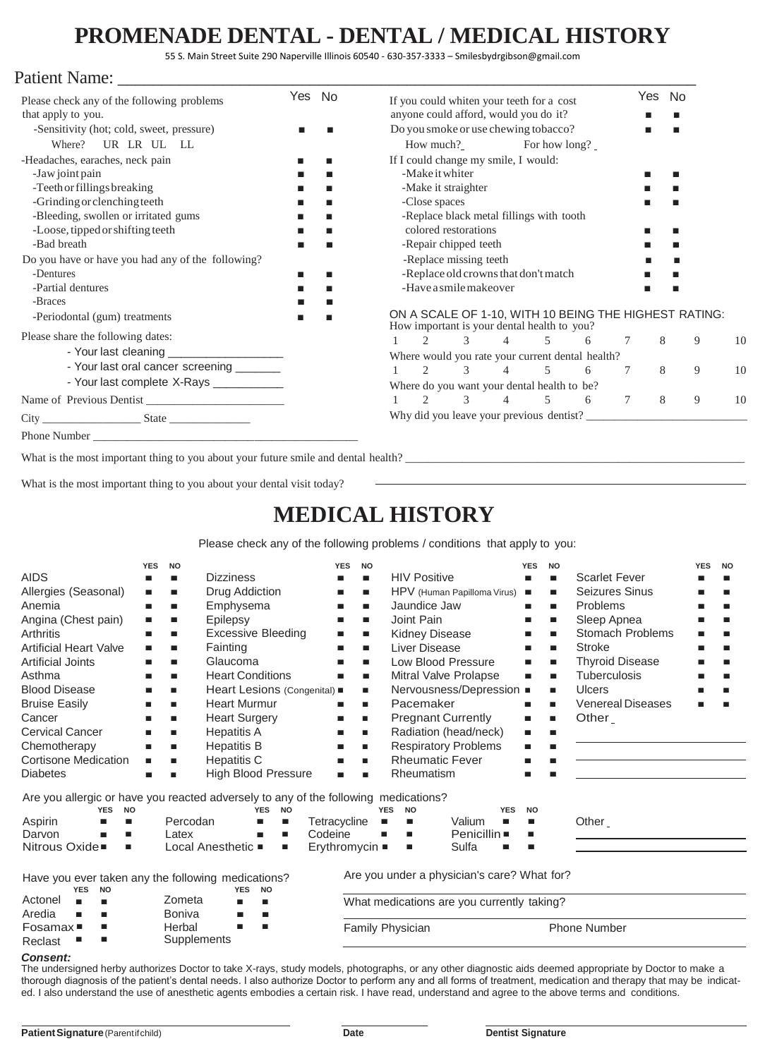# **PROMENADE DENTAL - DENTAL / MEDICAL HISTORY**

55 S. Main Street Suite 290 Naperville Illinois 60540 - 630-357-3333 – Smilesbydrgibson@gmail.com

### Patient Name:

| Please check any of the following problems        |  | Yes No                                           |                                          | If you could whiten your teeth for a cost                                                            |                        |          |                                                                                                                                                                                                                                                                                                                                                   |   |        |   | No |    |  |
|---------------------------------------------------|--|--------------------------------------------------|------------------------------------------|------------------------------------------------------------------------------------------------------|------------------------|----------|---------------------------------------------------------------------------------------------------------------------------------------------------------------------------------------------------------------------------------------------------------------------------------------------------------------------------------------------------|---|--------|---|----|----|--|
| that apply to you.                                |  | anyone could afford, would you do it?            |                                          |                                                                                                      |                        |          |                                                                                                                                                                                                                                                                                                                                                   |   |        |   |    |    |  |
| -Sensitivity (hot; cold, sweet, pressure)         |  | Do you smoke or use chewing tobacco?             |                                          |                                                                                                      |                        |          |                                                                                                                                                                                                                                                                                                                                                   |   |        |   |    |    |  |
| UR LR UL LL<br>Where?                             |  |                                                  |                                          |                                                                                                      | How much?              |          | For how long?                                                                                                                                                                                                                                                                                                                                     |   |        |   |    |    |  |
| -Headaches, earaches, neck pain                   |  |                                                  |                                          |                                                                                                      |                        |          | If I could change my smile, I would:                                                                                                                                                                                                                                                                                                              |   |        |   |    |    |  |
| -Jaw joint pain                                   |  |                                                  |                                          | -Make it whiter                                                                                      |                        |          |                                                                                                                                                                                                                                                                                                                                                   |   |        |   |    |    |  |
| -Teeth or fillings breaking                       |  |                                                  | -Make it straighter                      |                                                                                                      |                        |          |                                                                                                                                                                                                                                                                                                                                                   |   |        |   |    |    |  |
| -Grinding or clenching teeth                      |  |                                                  | -Close spaces                            |                                                                                                      |                        |          |                                                                                                                                                                                                                                                                                                                                                   |   |        |   |    |    |  |
| -Bleeding, swollen or irritated gums              |  |                                                  | -Replace black metal fillings with tooth |                                                                                                      |                        |          |                                                                                                                                                                                                                                                                                                                                                   |   |        |   |    |    |  |
| -Loose, tipped or shifting teeth                  |  |                                                  |                                          | colored restorations                                                                                 |                        |          |                                                                                                                                                                                                                                                                                                                                                   |   |        |   |    |    |  |
| -Bad breath                                       |  |                                                  |                                          | -Repair chipped teeth                                                                                |                        |          |                                                                                                                                                                                                                                                                                                                                                   |   |        |   |    |    |  |
| Do you have or have you had any of the following? |  |                                                  |                                          |                                                                                                      | -Replace missing teeth |          |                                                                                                                                                                                                                                                                                                                                                   |   |        |   |    |    |  |
| -Dentures                                         |  |                                                  | -Replace old crowns that don't match     |                                                                                                      |                        |          |                                                                                                                                                                                                                                                                                                                                                   |   |        |   |    |    |  |
| -Partial dentures                                 |  |                                                  | -Have a smile makeover                   |                                                                                                      |                        |          |                                                                                                                                                                                                                                                                                                                                                   |   |        |   |    |    |  |
| -Braces                                           |  |                                                  |                                          |                                                                                                      |                        |          |                                                                                                                                                                                                                                                                                                                                                   |   |        |   |    |    |  |
| -Periodontal (gum) treatments                     |  |                                                  |                                          | ON A SCALE OF 1-10, WITH 10 BEING THE HIGHEST RATING:<br>How important is your dental health to you? |                        |          |                                                                                                                                                                                                                                                                                                                                                   |   |        |   |    |    |  |
| Please share the following dates:                 |  |                                                  |                                          | $\mathcal{L}$                                                                                        | $\mathcal{Z}$          |          | $\overline{4}$ and $\overline{4}$ and $\overline{4}$ and $\overline{4}$ and $\overline{4}$ and $\overline{4}$ and $\overline{4}$ and $\overline{4}$ and $\overline{4}$ and $\overline{4}$ and $\overline{4}$ and $\overline{4}$ and $\overline{4}$ and $\overline{4}$ and $\overline{4}$ and $\overline{4}$ and $\overline{4}$ and<br>$5\qquad 6$ |   | 7      | 8 | 9  | 10 |  |
| - Your last cleaning _____________________        |  | Where would you rate your current dental health? |                                          |                                                                                                      |                        |          |                                                                                                                                                                                                                                                                                                                                                   |   |        |   |    |    |  |
| - Your last oral cancer screening _______         |  |                                                  |                                          | $\mathcal{L}$                                                                                        |                        | $3 \t 4$ | 5 <sup>5</sup>                                                                                                                                                                                                                                                                                                                                    | 6 | 7      | 8 | 9  | 10 |  |
| - Your last complete X-Rays ____________          |  | Where do you want your dental health to be?      |                                          |                                                                                                      |                        |          |                                                                                                                                                                                                                                                                                                                                                   |   |        |   |    |    |  |
|                                                   |  |                                                  |                                          | $\mathfrak{D}$                                                                                       | $\mathcal{Z}$          |          | $4\overline{ }$<br>$5^{\circ}$                                                                                                                                                                                                                                                                                                                    | 6 | $\tau$ | 8 | 9  | 10 |  |
|                                                   |  |                                                  | Why did you leave your previous dentist? |                                                                                                      |                        |          |                                                                                                                                                                                                                                                                                                                                                   |   |        |   |    |    |  |
|                                                   |  |                                                  |                                          |                                                                                                      |                        |          |                                                                                                                                                                                                                                                                                                                                                   |   |        |   |    |    |  |
|                                                   |  |                                                  |                                          |                                                                                                      |                        |          |                                                                                                                                                                                                                                                                                                                                                   |   |        |   |    |    |  |

What is the most important thing to you about your future smile and dental health?

What is the most important thing to you about your dental visit today?

## **MEDICAL HISTORY**

Please check any of the following problems / conditions that apply to you:

| <b>AIDS</b><br>Allergies (Seasonal)<br>Anemia<br>Angina (Chest pain)<br>Arthritis<br><b>Artificial Heart Valve</b>                                                                       | <b>YES</b><br><b>NO</b><br><b>Dizziness</b><br>п<br>п<br>Drug Addiction<br>п<br>п<br>Emphysema<br>٠<br>ш<br>Epilepsy<br>п<br>п<br><b>Excessive Bleeding</b><br>ш<br>п<br>Fainting<br>ш<br>п |                                      |                                                                                                                                                                                                             | <b>YES</b><br>ш<br>ш<br>$\blacksquare$<br>п<br>п<br>п | <b>NO</b><br>ш<br>ш<br><b>The State</b><br>п<br>ш<br>ш | <b>HIV Positive</b><br>Jaundice Jaw<br>Joint Pain<br><b>Kidney Disease</b><br>Liver Disease | HPV (Human Papilloma Virus)                       |                                                                                                                                                              | <b>YES</b><br><b>NO</b><br>ш<br>п<br>п<br>ш<br>ш<br>п<br>ш<br>ш<br>п<br>п<br>ш |                                 | <b>Scarlet Fever</b><br>Seizures Sinus<br>Problems<br>Sleep Apnea<br>Stomach Problems<br><b>Stroke</b> | <b>YES</b>                                                                                          | <b>NO</b><br>▄ |  |
|------------------------------------------------------------------------------------------------------------------------------------------------------------------------------------------|---------------------------------------------------------------------------------------------------------------------------------------------------------------------------------------------|--------------------------------------|-------------------------------------------------------------------------------------------------------------------------------------------------------------------------------------------------------------|-------------------------------------------------------|--------------------------------------------------------|---------------------------------------------------------------------------------------------|---------------------------------------------------|--------------------------------------------------------------------------------------------------------------------------------------------------------------|--------------------------------------------------------------------------------|---------------------------------|--------------------------------------------------------------------------------------------------------|-----------------------------------------------------------------------------------------------------|----------------|--|
| <b>Artificial Joints</b><br>Asthma<br><b>Blood Disease</b><br><b>Bruise Easily</b><br>Cancer<br><b>Cervical Cancer</b><br>Chemotherapy<br><b>Cortisone Medication</b><br><b>Diabetes</b> | п<br>٠<br>п<br>٠<br>٠<br>٠<br>п<br>ш                                                                                                                                                        | ▄<br>ш<br>ш<br>п<br>ш<br>ш<br>ш<br>п | Glaucoma<br><b>Heart Conditions</b><br>Heart Lesions (Congenital) .<br><b>Heart Murmur</b><br><b>Heart Surgery</b><br><b>Hepatitis A</b><br><b>Hepatitis B</b><br><b>Hepatitis C</b><br>High Blood Pressure |                                                       | п<br>■<br>п<br>п<br>п<br>ш                             | ш<br>ш<br>п<br>п<br>п<br>п<br>п<br>п<br>г                                                   | Pacemaker<br><b>Rheumatic Fever</b><br>Rheumatism | Low Blood Pressure<br>Mitral Valve Prolapse<br>Nervousness/Depression ■<br><b>Pregnant Currently</b><br>Radiation (head/neck)<br><b>Respiratory Problems</b> |                                                                                | ш<br>ш<br>ш<br>п<br>ш<br>п<br>ш |                                                                                                        | <b>Thyroid Disease</b><br><b>Tuberculosis</b><br><b>Ulcers</b><br><b>Venereal Diseases</b><br>Other |                |  |
| Are you allergic or have you reacted adversely to any of the following medications?<br><b>YES</b><br><b>NO</b><br>Aspirin<br>п<br>Darvon<br>■<br>Nitrous Oxide■<br>п                     |                                                                                                                                                                                             | Percodan<br>Latex                    | <b>YES</b><br>п<br>Local Anesthetic .                                                                                                                                                                       | <b>NO</b><br>Tetracycline<br>п<br>Codeine<br>п<br>п   |                                                        | п<br>п<br>Erythromycin                                                                      | <b>YES</b><br><b>NO</b><br>п<br>п<br>п            | Valium<br>Penicillin ■<br>Sulfa                                                                                                                              | <b>YES</b><br>п                                                                | <b>NO</b><br>П<br>ш             |                                                                                                        | Other_                                                                                              |                |  |
| Have you ever taken any the following medications?<br><b>YES</b><br><b>NO</b><br>Actonel<br>Aredia<br>ш<br>Fosamax■                                                                      |                                                                                                                                                                                             | Zometa<br><b>Boniva</b><br>Herbal    | <b>NO</b><br><b>YES</b><br>ш<br>п                                                                                                                                                                           |                                                       |                                                        |                                                                                             |                                                   | Are you under a physician's care? What for?<br>What medications are you currently taking?                                                                    |                                                                                |                                 |                                                                                                        | <b>Phone Number</b>                                                                                 |                |  |
| Supplements<br>Reclast                                                                                                                                                                   |                                                                                                                                                                                             |                                      |                                                                                                                                                                                                             |                                                       |                                                        | Family Physician                                                                            |                                                   |                                                                                                                                                              |                                                                                |                                 |                                                                                                        |                                                                                                     |                |  |

#### *Consent:*

The undersigned herby authorizes Doctor to take X-rays, study models, photographs, or any other diagnostic aids deemed appropriate by Doctor to make a thorough diagnosis of the patient's dental needs. I also authorize Doctor to perform any and all forms of treatment, medication and therapy that may be indicated. I also understand the use of anesthetic agents embodies a certain risk. I have read, understand and agree to the above terms and conditions.